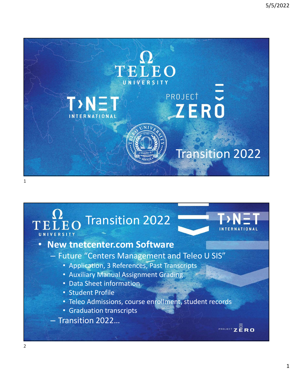

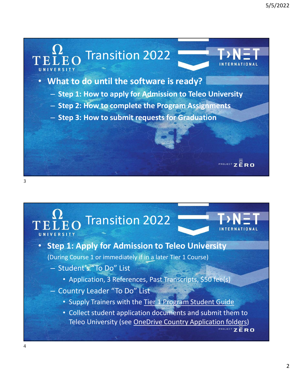